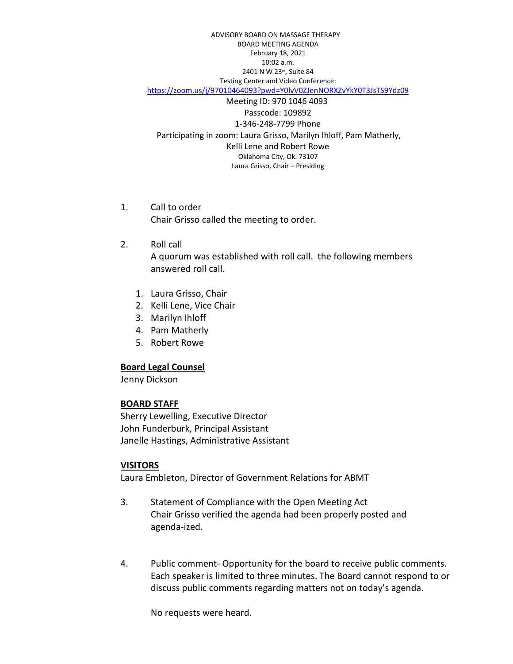- ADVISORY BOARD ON MASSAGE THERAPY BOARD MEETING AGENDA February 18, 2021 10:02 a.m. 2401 N W 23rd, Suite 84 Testing Center and Video Conference: <https://zoom.us/j/97010464093?pwd=Y0lvV0ZJenNORXZvYkY0T3JsTS9Ydz09> Meeting ID: 970 1046 4093 Passcode: 109892 1-346-248-7799 Phone Participating in zoom: Laura Grisso, Marilyn Ihloff, Pam Matherly, Kelli Lene and Robert Rowe Oklahoma City, Ok. 73107 Laura Grisso, Chair – Presiding
- 1. Call to order Chair Grisso called the meeting to order.
- 2. Roll call A quorum was established with roll call. the following members answered roll call.
	- 1. Laura Grisso, Chair
	- 2. Kelli Lene, Vice Chair
	- 3. Marilyn Ihloff
	- 4. Pam Matherly
	- 5. Robert Rowe

### **Board Legal Counsel**

Jenny Dickson

### **BOARD STAFF**

Sherry Lewelling, Executive Director John Funderburk, Principal Assistant Janelle Hastings, Administrative Assistant

### **VISITORS**

Laura Embleton, Director of Government Relations for ABMT

- 3. Statement of Compliance with the Open Meeting Act Chair Grisso verified the agenda had been properly posted and agenda-ized.
- 4. Public comment- Opportunity for the board to receive public comments. Each speaker is limited to three minutes. The Board cannot respond to or discuss public comments regarding matters not on today's agenda.

No requests were heard.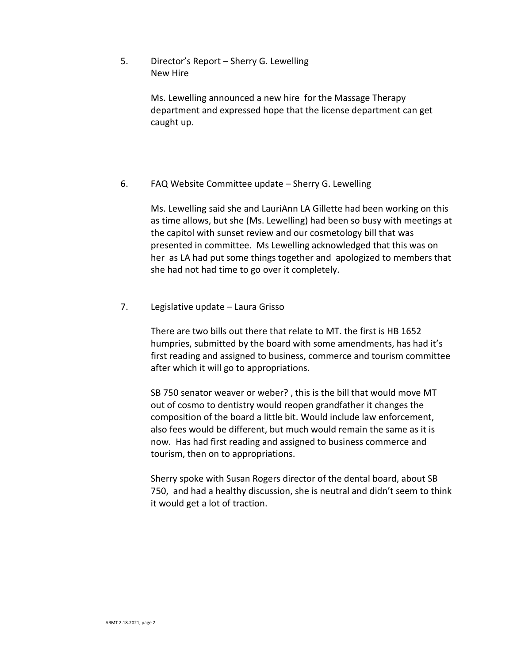# 5. Director's Report – Sherry G. Lewelling New Hire

Ms. Lewelling announced a new hire for the Massage Therapy department and expressed hope that the license department can get caught up.

## 6. FAQ Website Committee update – Sherry G. Lewelling

Ms. Lewelling said she and LauriAnn LA Gillette had been working on this as time allows, but she (Ms. Lewelling) had been so busy with meetings at the capitol with sunset review and our cosmetology bill that was presented in committee. Ms Lewelling acknowledged that this was on her as LA had put some things together and apologized to members that she had not had time to go over it completely.

## 7. Legislative update – Laura Grisso

There are two bills out there that relate to MT. the first is HB 1652 humpries, submitted by the board with some amendments, has had it's first reading and assigned to business, commerce and tourism committee after which it will go to appropriations.

SB 750 senator weaver or weber? , this is the bill that would move MT out of cosmo to dentistry would reopen grandfather it changes the composition of the board a little bit. Would include law enforcement, also fees would be different, but much would remain the same as it is now. Has had first reading and assigned to business commerce and tourism, then on to appropriations.

Sherry spoke with Susan Rogers director of the dental board, about SB 750, and had a healthy discussion, she is neutral and didn't seem to think it would get a lot of traction.